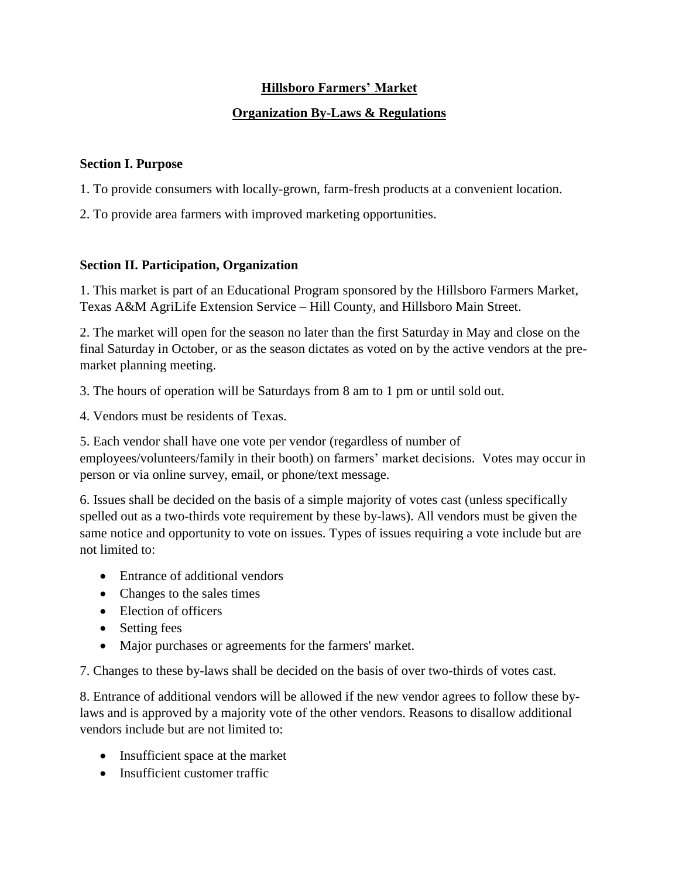## **Hillsboro Farmers' Market**

### **Organization By-Laws & Regulations**

#### **Section I. Purpose**

1. To provide consumers with locally-grown, farm-fresh products at a convenient location.

2. To provide area farmers with improved marketing opportunities.

#### **Section II. Participation, Organization**

1. This market is part of an Educational Program sponsored by the Hillsboro Farmers Market, Texas A&M AgriLife Extension Service – Hill County, and Hillsboro Main Street.

2. The market will open for the season no later than the first Saturday in May and close on the final Saturday in October, or as the season dictates as voted on by the active vendors at the premarket planning meeting.

3. The hours of operation will be Saturdays from 8 am to 1 pm or until sold out.

4. Vendors must be residents of Texas.

5. Each vendor shall have one vote per vendor (regardless of number of employees/volunteers/family in their booth) on farmers' market decisions. Votes may occur in person or via online survey, email, or phone/text message.

6. Issues shall be decided on the basis of a simple majority of votes cast (unless specifically spelled out as a two-thirds vote requirement by these by-laws). All vendors must be given the same notice and opportunity to vote on issues. Types of issues requiring a vote include but are not limited to:

- Entrance of additional vendors
- Changes to the sales times
- Election of officers
- Setting fees
- Major purchases or agreements for the farmers' market.

7. Changes to these by-laws shall be decided on the basis of over two-thirds of votes cast.

8. Entrance of additional vendors will be allowed if the new vendor agrees to follow these bylaws and is approved by a majority vote of the other vendors. Reasons to disallow additional vendors include but are not limited to:

- Insufficient space at the market
- Insufficient customer traffic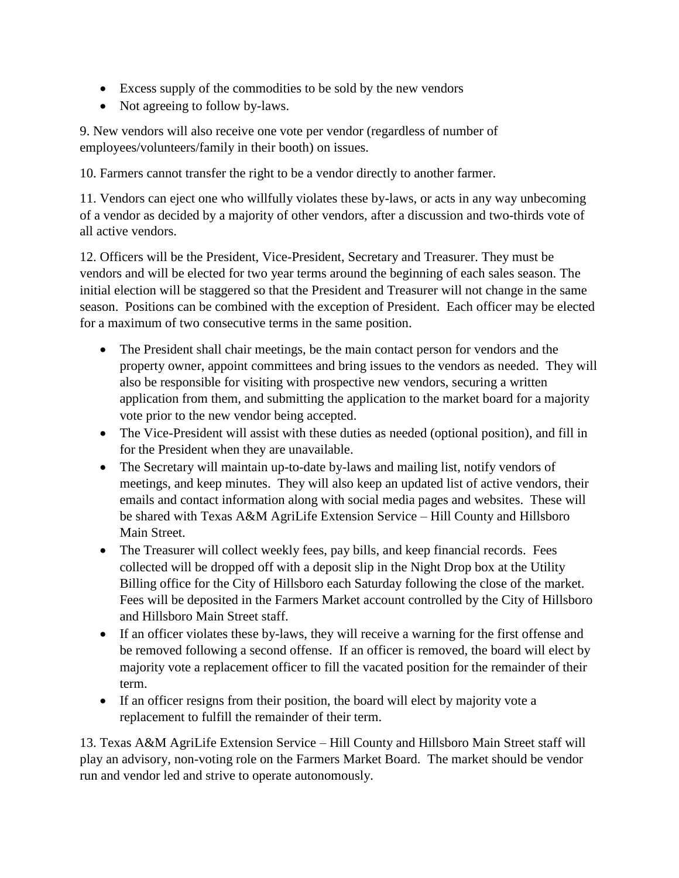- Excess supply of the commodities to be sold by the new vendors
- Not agreeing to follow by-laws.

9. New vendors will also receive one vote per vendor (regardless of number of employees/volunteers/family in their booth) on issues.

10. Farmers cannot transfer the right to be a vendor directly to another farmer.

11. Vendors can eject one who willfully violates these by-laws, or acts in any way unbecoming of a vendor as decided by a majority of other vendors, after a discussion and two-thirds vote of all active vendors.

12. Officers will be the President, Vice-President, Secretary and Treasurer. They must be vendors and will be elected for two year terms around the beginning of each sales season. The initial election will be staggered so that the President and Treasurer will not change in the same season. Positions can be combined with the exception of President. Each officer may be elected for a maximum of two consecutive terms in the same position.

- The President shall chair meetings, be the main contact person for vendors and the property owner, appoint committees and bring issues to the vendors as needed. They will also be responsible for visiting with prospective new vendors, securing a written application from them, and submitting the application to the market board for a majority vote prior to the new vendor being accepted.
- The Vice-President will assist with these duties as needed (optional position), and fill in for the President when they are unavailable.
- The Secretary will maintain up-to-date by-laws and mailing list, notify vendors of meetings, and keep minutes. They will also keep an updated list of active vendors, their emails and contact information along with social media pages and websites. These will be shared with Texas A&M AgriLife Extension Service – Hill County and Hillsboro Main Street.
- The Treasurer will collect weekly fees, pay bills, and keep financial records. Fees collected will be dropped off with a deposit slip in the Night Drop box at the Utility Billing office for the City of Hillsboro each Saturday following the close of the market. Fees will be deposited in the Farmers Market account controlled by the City of Hillsboro and Hillsboro Main Street staff.
- If an officer violates these by-laws, they will receive a warning for the first offense and be removed following a second offense. If an officer is removed, the board will elect by majority vote a replacement officer to fill the vacated position for the remainder of their term.
- If an officer resigns from their position, the board will elect by majority vote a replacement to fulfill the remainder of their term.

13. Texas A&M AgriLife Extension Service – Hill County and Hillsboro Main Street staff will play an advisory, non-voting role on the Farmers Market Board. The market should be vendor run and vendor led and strive to operate autonomously.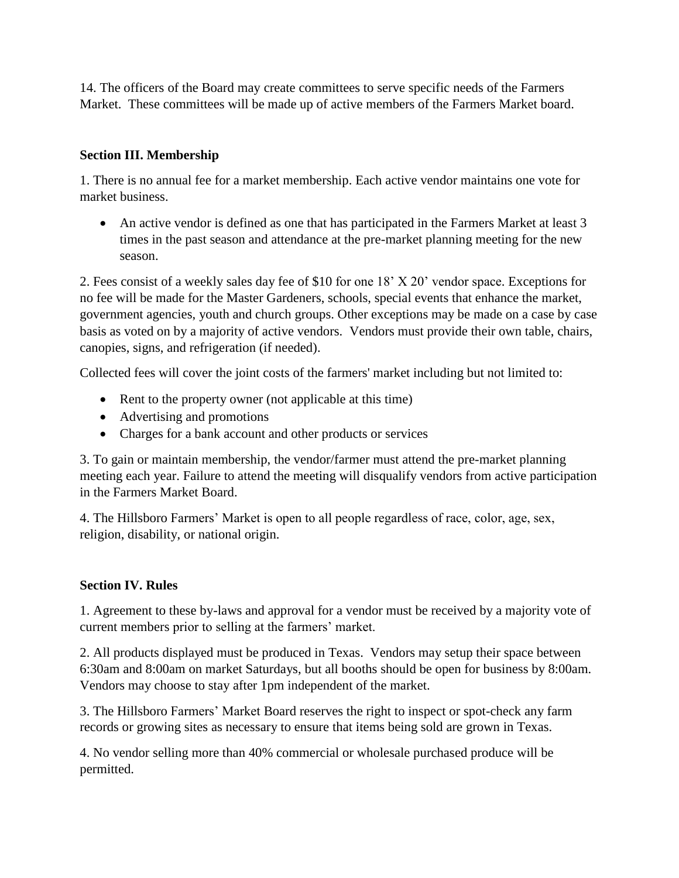14. The officers of the Board may create committees to serve specific needs of the Farmers Market. These committees will be made up of active members of the Farmers Market board.

## **Section III. Membership**

1. There is no annual fee for a market membership. Each active vendor maintains one vote for market business.

 An active vendor is defined as one that has participated in the Farmers Market at least 3 times in the past season and attendance at the pre-market planning meeting for the new season.

2. Fees consist of a weekly sales day fee of \$10 for one 18' X 20' vendor space. Exceptions for no fee will be made for the Master Gardeners, schools, special events that enhance the market, government agencies, youth and church groups. Other exceptions may be made on a case by case basis as voted on by a majority of active vendors. Vendors must provide their own table, chairs, canopies, signs, and refrigeration (if needed).

Collected fees will cover the joint costs of the farmers' market including but not limited to:

- Rent to the property owner (not applicable at this time)
- Advertising and promotions
- Charges for a bank account and other products or services

3. To gain or maintain membership, the vendor/farmer must attend the pre-market planning meeting each year. Failure to attend the meeting will disqualify vendors from active participation in the Farmers Market Board.

4. The Hillsboro Farmers' Market is open to all people regardless of race, color, age, sex, religion, disability, or national origin.

#### **Section IV. Rules**

1. Agreement to these by-laws and approval for a vendor must be received by a majority vote of current members prior to selling at the farmers' market.

2. All products displayed must be produced in Texas. Vendors may setup their space between 6:30am and 8:00am on market Saturdays, but all booths should be open for business by 8:00am. Vendors may choose to stay after 1pm independent of the market.

3. The Hillsboro Farmers' Market Board reserves the right to inspect or spot-check any farm records or growing sites as necessary to ensure that items being sold are grown in Texas.

4. No vendor selling more than 40% commercial or wholesale purchased produce will be permitted.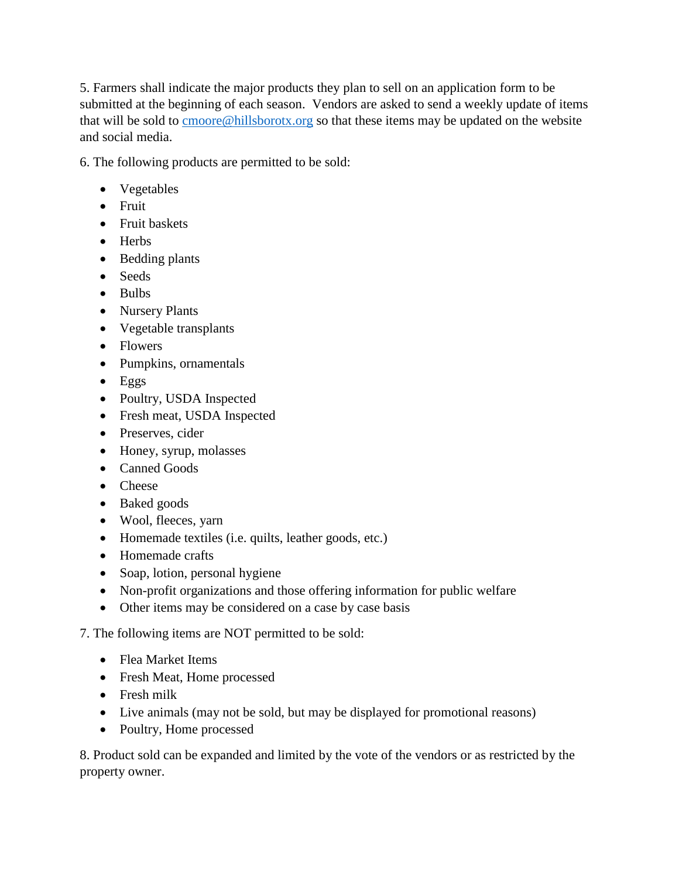5. Farmers shall indicate the major products they plan to sell on an application form to be submitted at the beginning of each season. Vendors are asked to send a weekly update of items that will be sold to [cmoore@hillsborotx.org](mailto:cmoore@hillsborotx.org) so that these items may be updated on the website and social media.

6. The following products are permitted to be sold:

- Vegetables
- Fruit
- Fruit baskets
- Herbs
- Bedding plants
- Seeds
- $\bullet$  Bulbs
- Nursery Plants
- Vegetable transplants
- Flowers
- Pumpkins, ornamentals
- $\bullet$  Eggs
- Poultry, USDA Inspected
- Fresh meat, USDA Inspected
- Preserves, cider
- Honey, syrup, molasses
- Canned Goods
- Cheese
- Baked goods
- Wool, fleeces, yarn
- Homemade textiles (i.e. quilts, leather goods, etc.)
- Homemade crafts
- Soap, lotion, personal hygiene
- Non-profit organizations and those offering information for public welfare
- Other items may be considered on a case by case basis

7. The following items are NOT permitted to be sold:

- Flea Market Items
- Fresh Meat, Home processed
- Fresh milk
- Live animals (may not be sold, but may be displayed for promotional reasons)
- Poultry, Home processed

8. Product sold can be expanded and limited by the vote of the vendors or as restricted by the property owner.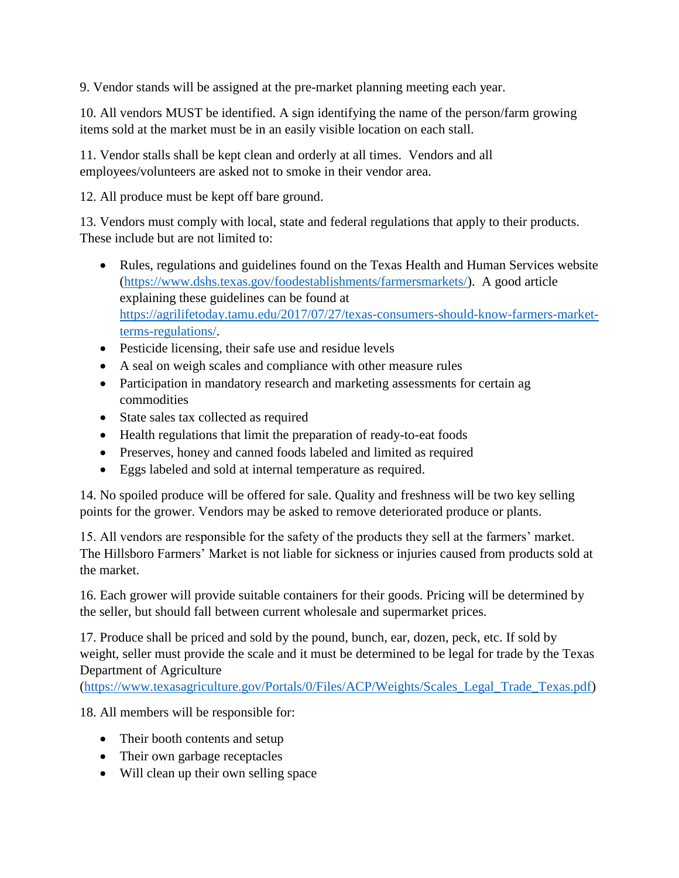9. Vendor stands will be assigned at the pre-market planning meeting each year.

10. All vendors MUST be identified. A sign identifying the name of the person/farm growing items sold at the market must be in an easily visible location on each stall.

11. Vendor stalls shall be kept clean and orderly at all times. Vendors and all employees/volunteers are asked not to smoke in their vendor area.

12. All produce must be kept off bare ground.

13. Vendors must comply with local, state and federal regulations that apply to their products. These include but are not limited to:

- Rules, regulations and guidelines found on the Texas Health and Human Services website [\(https://www.dshs.texas.gov/foodestablishments/farmersmarkets/\)](https://www.dshs.texas.gov/foodestablishments/farmersmarkets/). A good article explaining these guidelines can be found at [https://agrilifetoday.tamu.edu/2017/07/27/texas-consumers-should-know-farmers-market](https://agrilifetoday.tamu.edu/2017/07/27/texas-consumers-should-know-farmers-market-terms-regulations/)[terms-regulations/.](https://agrilifetoday.tamu.edu/2017/07/27/texas-consumers-should-know-farmers-market-terms-regulations/)
- Pesticide licensing, their safe use and residue levels
- A seal on weigh scales and compliance with other measure rules
- Participation in mandatory research and marketing assessments for certain ag commodities
- State sales tax collected as required
- Health regulations that limit the preparation of ready-to-eat foods
- Preserves, honey and canned foods labeled and limited as required
- Eggs labeled and sold at internal temperature as required.

14. No spoiled produce will be offered for sale. Quality and freshness will be two key selling points for the grower. Vendors may be asked to remove deteriorated produce or plants.

15. All vendors are responsible for the safety of the products they sell at the farmers' market. The Hillsboro Farmers' Market is not liable for sickness or injuries caused from products sold at the market.

16. Each grower will provide suitable containers for their goods. Pricing will be determined by the seller, but should fall between current wholesale and supermarket prices.

17. Produce shall be priced and sold by the pound, bunch, ear, dozen, peck, etc. If sold by weight, seller must provide the scale and it must be determined to be legal for trade by the Texas Department of Agriculture

[\(https://www.texasagriculture.gov/Portals/0/Files/ACP/Weights/Scales\\_Legal\\_Trade\\_Texas.pdf\)](https://www.texasagriculture.gov/Portals/0/Files/ACP/Weights/Scales_Legal_Trade_Texas.pdf)

18. All members will be responsible for:

- Their booth contents and setup
- Their own garbage receptacles
- Will clean up their own selling space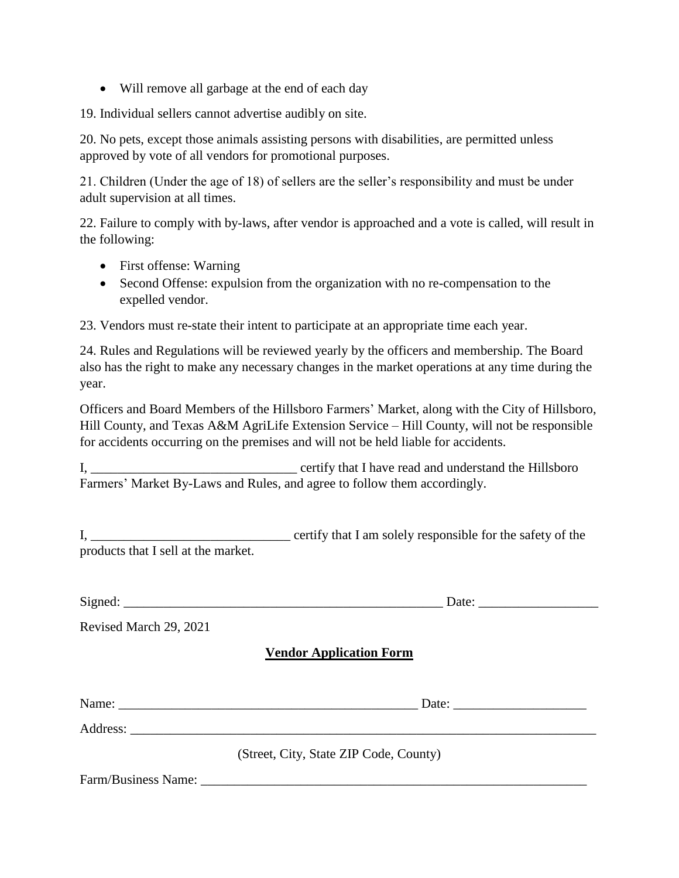Will remove all garbage at the end of each day

19. Individual sellers cannot advertise audibly on site.

20. No pets, except those animals assisting persons with disabilities, are permitted unless approved by vote of all vendors for promotional purposes.

21. Children (Under the age of 18) of sellers are the seller's responsibility and must be under adult supervision at all times.

22. Failure to comply with by-laws, after vendor is approached and a vote is called, will result in the following:

- First offense: Warning
- Second Offense: expulsion from the organization with no re-compensation to the expelled vendor.

23. Vendors must re-state their intent to participate at an appropriate time each year.

24. Rules and Regulations will be reviewed yearly by the officers and membership. The Board also has the right to make any necessary changes in the market operations at any time during the year.

Officers and Board Members of the Hillsboro Farmers' Market, along with the City of Hillsboro, Hill County, and Texas A&M AgriLife Extension Service – Hill County, will not be responsible for accidents occurring on the premises and will not be held liable for accidents.

I, **I** certify that I have read and understand the Hillsboro Farmers' Market By-Laws and Rules, and agree to follow them accordingly.

I, \_\_\_\_\_\_\_\_\_\_\_\_\_\_\_\_\_\_\_\_\_\_\_\_\_\_\_\_\_\_ certify that I am solely responsible for the safety of the products that I sell at the market.

| Signed: |  |  |  |  |
|---------|--|--|--|--|
|         |  |  |  |  |

 $\Box$  Date:

Revised March 29, 2021

# **Vendor Application Form**

|                     | Date:                                  |
|---------------------|----------------------------------------|
|                     |                                        |
|                     | (Street, City, State ZIP Code, County) |
| Farm/Business Name: |                                        |